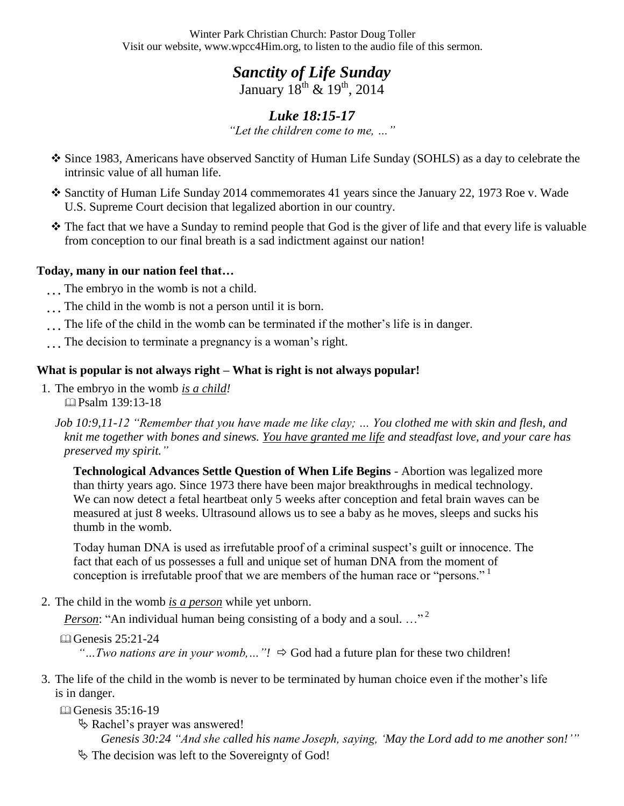Winter Park Christian Church: Pastor Doug Toller Visit our website, www.wpcc4Him.org, to listen to the audio file of this sermon.

> *Sanctity of Life Sunday*  January  $18^{th}$  &  $19^{th}$ , 2014

## *Luke 18:15-17 "Let the children come to me, …"*

- Since 1983, Americans have observed Sanctity of Human Life Sunday (SOHLS) as a day to celebrate the intrinsic value of all human life.
- Sanctity of Human Life Sunday 2014 commemorates 41 years since the January 22, 1973 Roe v. Wade U.S. Supreme Court decision that legalized abortion in our country.
- The fact that we have a Sunday to remind people that God is the giver of life and that every life is valuable from conception to our final breath is a sad indictment against our nation!

### **Today, many in our nation feel that…**

- …The embryo in the womb is not a child.
- …The child in the womb is not a person until it is born.
- …The life of the child in the womb can be terminated if the mother's life is in danger.
- …The decision to terminate a pregnancy is a woman's right.

## **What is popular is not always right – What is right is not always popular!**

1. The embryo in the womb *is a child!* Psalm 139:13-18

*Job 10:9,11-12 "Remember that you have made me like clay; … You clothed me with skin and flesh, and knit me together with bones and sinews. You have granted me life and steadfast love, and your care has preserved my spirit."* 

**Technological Advances Settle Question of When Life Begins** - Abortion was legalized more than thirty years ago. Since 1973 there have been major breakthroughs in medical technology. We can now detect a fetal heartbeat only 5 weeks after conception and fetal brain waves can be measured at just 8 weeks. Ultrasound allows us to see a baby as he moves, sleeps and sucks his thumb in the womb.

Today human DNA is used as irrefutable proof of a criminal suspect's guilt or innocence. The fact that each of us possesses a full and unique set of human DNA from the moment of conception is irrefutable proof that we are members of the human race or "persons."

2. The child in the womb *is a person* while yet unborn.

*Person*: "An individual human being consisting of a body and a soul..."<sup>2</sup>

Genesis 25:21-24

*"...Two nations are in your womb,..."!*  $\Rightarrow$  God had a future plan for these two children!

- 3. The life of the child in the womb is never to be terminated by human choice even if the mother's life is in danger.
	- Genesis 35:16-19
		- Rachel's prayer was answered! *Genesis 30:24 "And she called his name Joseph, saying, "May the Lord add to me another son!""*
		- $\&$  The decision was left to the Sovereignty of God!